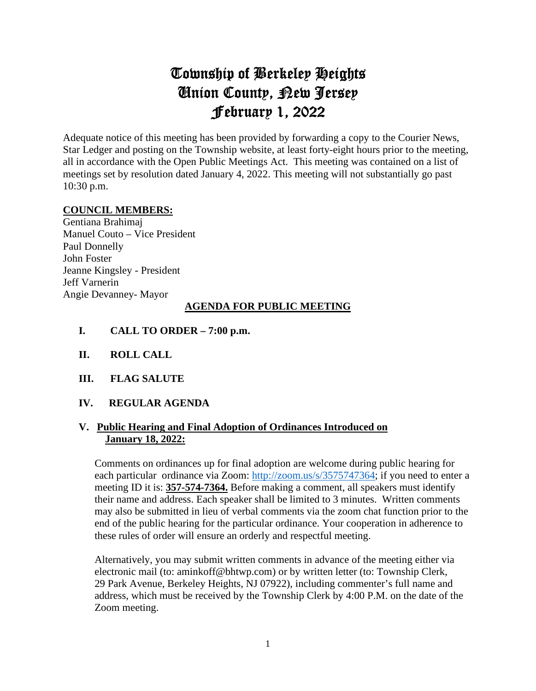# Township of Berkeley Heights Union County, New Jersey February 1, 2022

Adequate notice of this meeting has been provided by forwarding a copy to the Courier News, Star Ledger and posting on the Township website, at least forty-eight hours prior to the meeting, all in accordance with the Open Public Meetings Act. This meeting was contained on a list of meetings set by resolution dated January 4, 2022. This meeting will not substantially go past 10:30 p.m.

### **COUNCIL MEMBERS:**

Gentiana Brahimaj Manuel Couto – Vice President Paul Donnelly John Foster Jeanne Kingsley - President Jeff Varnerin Angie Devanney- Mayor

### **AGENDA FOR PUBLIC MEETING**

- **I. CALL TO ORDER 7:00 p.m.**
- **II. ROLL CALL**
- **III. FLAG SALUTE**
- **IV. REGULAR AGENDA**

### **V. Public Hearing and Final Adoption of Ordinances Introduced on January 18, 2022:**

 Comments on ordinances up for final adoption are welcome during public hearing for each particular ordinance via Zoom: [http://zoom.us/s/3575747364;](http://zoom.us/s/3575747364) if you need to enter a meeting ID it is: **357-574-7364.** Before making a comment, all speakers must identify their name and address. Each speaker shall be limited to 3 minutes. Written comments may also be submitted in lieu of verbal comments via the zoom chat function prior to the end of the public hearing for the particular ordinance. Your cooperation in adherence to these rules of order will ensure an orderly and respectful meeting.

 Alternatively, you may submit written comments in advance of the meeting either via electronic mail (to: aminkoff@bhtwp.com) or by written letter (to: Township Clerk, 29 Park Avenue, Berkeley Heights, NJ 07922), including commenter's full name and address, which must be received by the Township Clerk by 4:00 P.M. on the date of the Zoom meeting.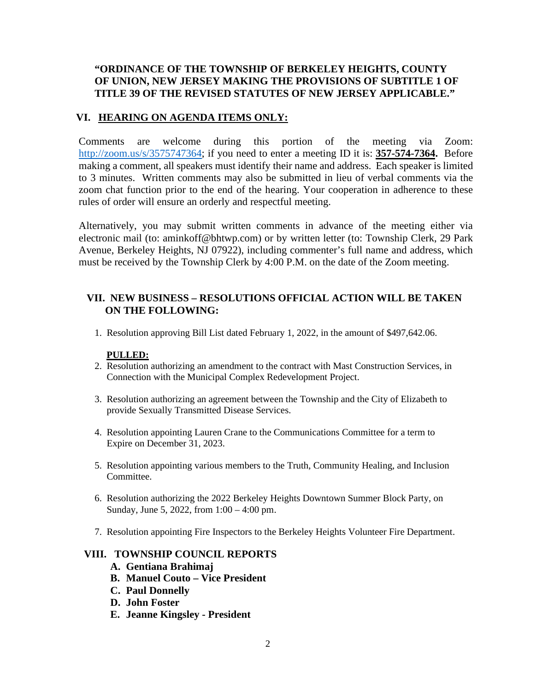### **"ORDINANCE OF THE TOWNSHIP OF BERKELEY HEIGHTS, COUNTY OF UNION, NEW JERSEY MAKING THE PROVISIONS OF SUBTITLE 1 OF TITLE 39 OF THE REVISED STATUTES OF NEW JERSEY APPLICABLE."**

### **VI. HEARING ON AGENDA ITEMS ONLY:**

Comments are welcome during this portion of the meeting via Zoom: [http://zoom.us/s/3575747364;](http://zoom.us/s/3575747364) if you need to enter a meeting ID it is: **357-574-7364.** Before making a comment, all speakers must identify their name and address. Each speaker is limited to 3 minutes. Written comments may also be submitted in lieu of verbal comments via the zoom chat function prior to the end of the hearing. Your cooperation in adherence to these rules of order will ensure an orderly and respectful meeting.

Alternatively, you may submit written comments in advance of the meeting either via electronic mail (to: aminkoff@bhtwp.com) or by written letter (to: Township Clerk, 29 Park Avenue, Berkeley Heights, NJ 07922), including commenter's full name and address, which must be received by the Township Clerk by 4:00 P.M. on the date of the Zoom meeting.

### **VII. NEW BUSINESS – RESOLUTIONS OFFICIAL ACTION WILL BE TAKEN ON THE FOLLOWING:**

1. Resolution approving Bill List dated February 1, 2022, in the amount of \$497,642.06.

### **PULLED:**

- 2. Resolution authorizing an amendment to the contract with Mast Construction Services, in Connection with the Municipal Complex Redevelopment Project.
- 3. Resolution authorizing an agreement between the Township and the City of Elizabeth to provide Sexually Transmitted Disease Services.
- 4. Resolution appointing Lauren Crane to the Communications Committee for a term to Expire on December 31, 2023.
- 5. Resolution appointing various members to the Truth, Community Healing, and Inclusion Committee.
- 6. Resolution authorizing the 2022 Berkeley Heights Downtown Summer Block Party, on Sunday, June 5, 2022, from 1:00 – 4:00 pm.
- 7. Resolution appointing Fire Inspectors to the Berkeley Heights Volunteer Fire Department.

### **VIII. TOWNSHIP COUNCIL REPORTS**

- **A. Gentiana Brahimaj**
- **B. Manuel Couto Vice President**
- **C. Paul Donnelly**
- **D. John Foster**
- **E. Jeanne Kingsley President**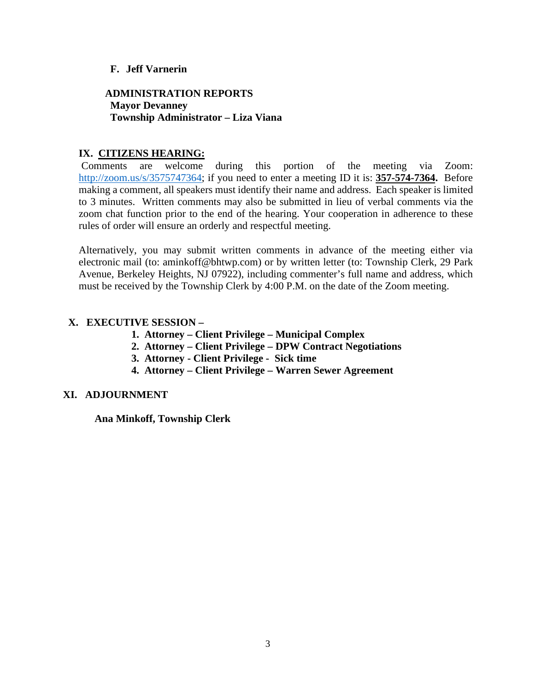### **F. Jeff Varnerin**

### **ADMINISTRATION REPORTS Mayor Devanney Township Administrator – Liza Viana**

### **IX. CITIZENS HEARING:**

 Comments are welcome during this portion of the meeting via Zoom: [http://zoom.us/s/3575747364;](http://zoom.us/s/3575747364) if you need to enter a meeting ID it is: **357-574-7364.** Before making a comment, all speakers must identify their name and address. Each speaker is limited to 3 minutes. Written comments may also be submitted in lieu of verbal comments via the zoom chat function prior to the end of the hearing. Your cooperation in adherence to these rules of order will ensure an orderly and respectful meeting.

Alternatively, you may submit written comments in advance of the meeting either via electronic mail (to: aminkoff@bhtwp.com) or by written letter (to: Township Clerk, 29 Park Avenue, Berkeley Heights, NJ 07922), including commenter's full name and address, which must be received by the Township Clerk by 4:00 P.M. on the date of the Zoom meeting.

### **X. EXECUTIVE SESSION –**

- **1. Attorney Client Privilege Municipal Complex**
- **2. Attorney Client Privilege DPW Contract Negotiations**
- **3. Attorney Client Privilege Sick time**
- **4. Attorney Client Privilege Warren Sewer Agreement**

### **XI. ADJOURNMENT**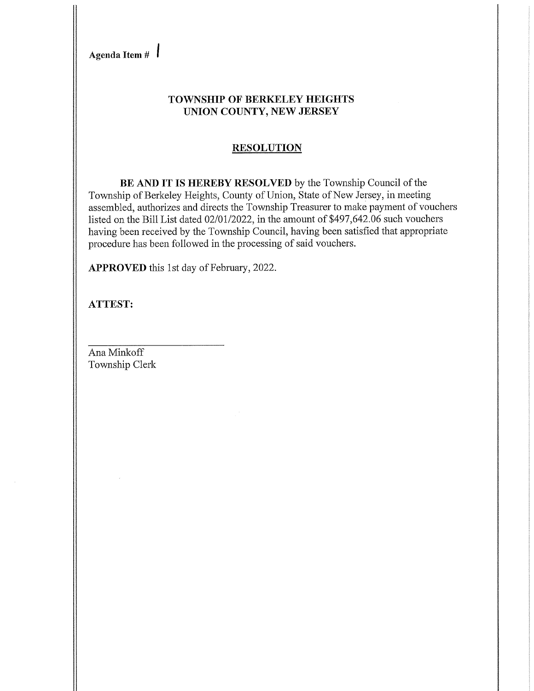Agenda Item  $\#$ 

### **TOWNSHIP OF BERKELEY HEIGHTS** UNION COUNTY, NEW JERSEY

### **RESOLUTION**

BE AND IT IS HEREBY RESOLVED by the Township Council of the Township of Berkeley Heights, County of Union, State of New Jersey, in meeting assembled, authorizes and directs the Township Treasurer to make payment of vouchers listed on the Bill List dated 02/01/2022, in the amount of \$497,642.06 such vouchers having been received by the Township Council, having been satisfied that appropriate procedure has been followed in the processing of said vouchers.

APPROVED this 1st day of February, 2022.

**ATTEST:**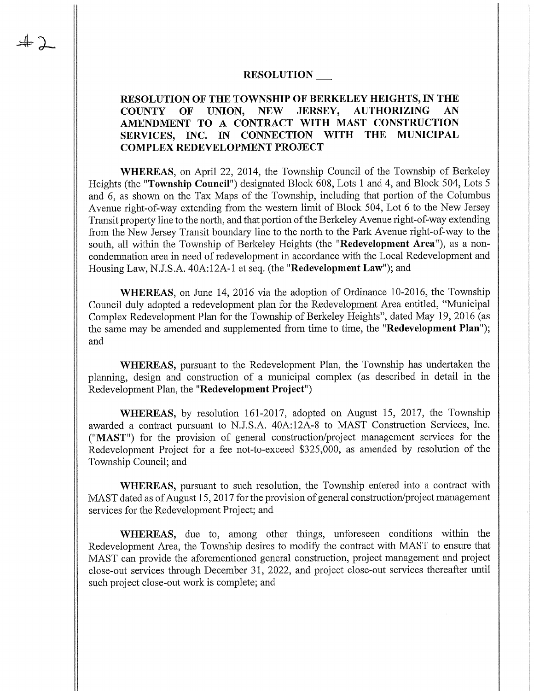### **RESOLUTION**

#### RESOLUTION OF THE TOWNSHIP OF BERKELEY HEIGHTS, IN THE UNION, **NEW JERSEY, AUTHORIZING** AN **COUNTY** OF AMENDMENT TO A CONTRACT WITH MAST CONSTRUCTION SERVICES, INC. IN CONNECTION WITH THE MUNICIPAL **COMPLEX REDEVELOPMENT PROJECT**

WHEREAS, on April 22, 2014, the Township Council of the Township of Berkeley Heights (the "Township Council") designated Block 608, Lots 1 and 4, and Block 504, Lots 5 and 6, as shown on the Tax Maps of the Township, including that portion of the Columbus Avenue right-of-way extending from the western limit of Block 504, Lot 6 to the New Jersey Transit property line to the north, and that portion of the Berkeley Avenue right-of-way extending from the New Jersey Transit boundary line to the north to the Park Avenue right-of-way to the south, all within the Township of Berkeley Heights (the "Redevelopment Area"), as a noncondemnation area in need of redevelopment in accordance with the Local Redevelopment and Housing Law, N.J.S.A. 40A:12A-1 et seq. (the "Redevelopment Law"); and

**WHEREAS**, on June 14, 2016 via the adoption of Ordinance 10-2016, the Township Council duly adopted a redevelopment plan for the Redevelopment Area entitled, "Municipal Complex Redevelopment Plan for the Township of Berkeley Heights", dated May 19, 2016 (as the same may be amended and supplemented from time to time, the "Redevelopment Plan"); and

WHEREAS, pursuant to the Redevelopment Plan, the Township has undertaken the planning, design and construction of a municipal complex (as described in detail in the Redevelopment Plan, the "Redevelopment Project")

WHEREAS, by resolution 161-2017, adopted on August 15, 2017, the Township awarded a contract pursuant to N.J.S.A. 40A:12A-8 to MAST Construction Services, Inc. ("MAST") for the provision of general construction/project management services for the Redevelopment Project for a fee not-to-exceed \$325,000, as amended by resolution of the Township Council; and

WHEREAS, pursuant to such resolution, the Township entered into a contract with MAST dated as of August 15, 2017 for the provision of general construction/project management services for the Redevelopment Project; and

**WHEREAS**, due to, among other things, unforeseen conditions within the Redevelopment Area, the Township desires to modify the contract with MAST to ensure that MAST can provide the aforementioned general construction, project management and project close-out services through December 31, 2022, and project close-out services thereafter until such project close-out work is complete; and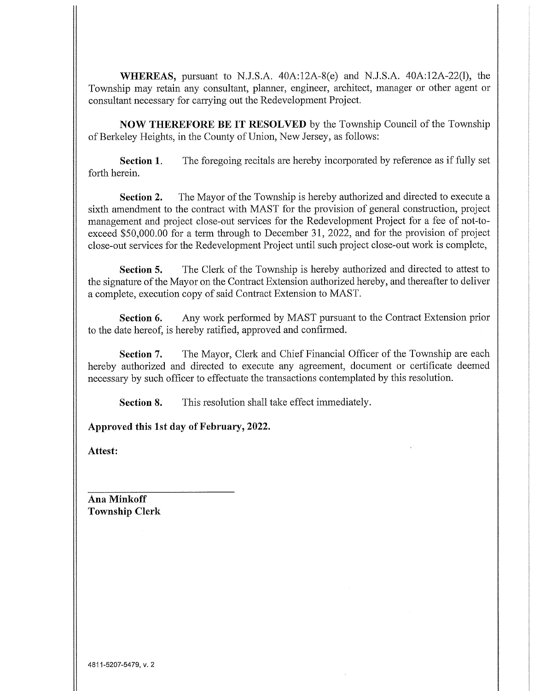WHEREAS, pursuant to N.J.S.A. 40A:12A-8(e) and N.J.S.A. 40A:12A-22(l), the Township may retain any consultant, planner, engineer, architect, manager or other agent or consultant necessary for carrying out the Redevelopment Project.

**NOW THEREFORE BE IT RESOLVED** by the Township Council of the Township of Berkeley Heights, in the County of Union, New Jersey, as follows:

The foregoing recitals are hereby incorporated by reference as if fully set Section 1. forth herein.

Section 2. The Mayor of the Township is hereby authorized and directed to execute a sixth amendment to the contract with MAST for the provision of general construction, project management and project close-out services for the Redevelopment Project for a fee of not-toexceed \$50,000.00 for a term through to December 31, 2022, and for the provision of project close-out services for the Redevelopment Project until such project close-out work is complete,

The Clerk of the Township is hereby authorized and directed to attest to Section 5. the signature of the Mayor on the Contract Extension authorized hereby, and thereafter to deliver a complete, execution copy of said Contract Extension to MAST.

Any work performed by MAST pursuant to the Contract Extension prior Section 6. to the date hereof, is hereby ratified, approved and confirmed.

Section 7. The Mayor, Clerk and Chief Financial Officer of the Township are each hereby authorized and directed to execute any agreement, document or certificate deemed necessary by such officer to effectuate the transactions contemplated by this resolution.

This resolution shall take effect immediately. Section 8.

Approved this 1st day of February, 2022.

Attest: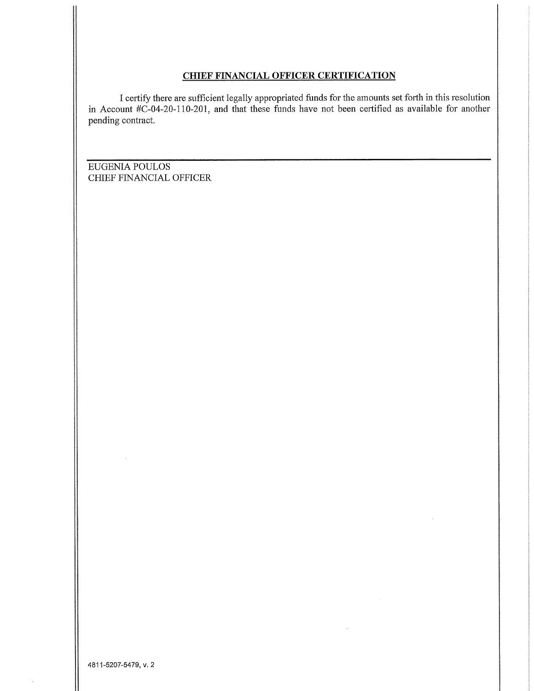### **CHIEF FINANCIAL OFFICER CERTIFICATION**

I certify there are sufficient legally appropriated funds for the amounts set forth in this resolution in Account  $\#C$ -04-20-110-201, and that these funds have not been certified as available for another pending contract.

EUGENIA POULOS CHIEF FINANCIAL OFFICER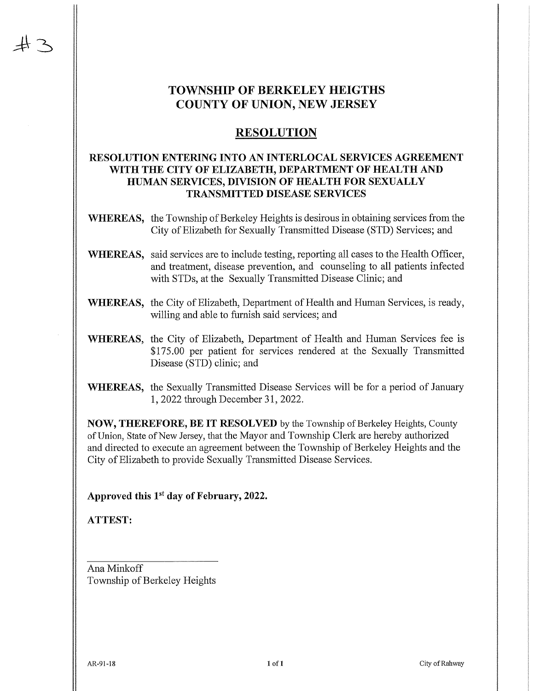## **TOWNSHIP OF BERKELEY HEIGTHS COUNTY OF UNION, NEW JERSEY**

### **RESOLUTION**

### **RESOLUTION ENTERING INTO AN INTERLOCAL SERVICES AGREEMENT** WITH THE CITY OF ELIZABETH, DEPARTMENT OF HEALTH AND HUMAN SERVICES, DIVISION OF HEALTH FOR SEXUALLY **TRANSMITTED DISEASE SERVICES**

- **WHEREAS,** the Township of Berkeley Heights is desirous in obtaining services from the City of Elizabeth for Sexually Transmitted Disease (STD) Services; and
- **WHEREAS**, said services are to include testing, reporting all cases to the Health Officer, and treatment, disease prevention, and counseling to all patients infected with STDs, at the Sexually Transmitted Disease Clinic; and
- WHEREAS, the City of Elizabeth, Department of Health and Human Services, is ready, willing and able to furnish said services; and
- WHEREAS, the City of Elizabeth, Department of Health and Human Services fee is \$175.00 per patient for services rendered at the Sexually Transmitted Disease (STD) clinic; and
- **WHEREAS,** the Sexually Transmitted Disease Services will be for a period of January 1, 2022 through December 31, 2022.

**NOW, THEREFORE, BE IT RESOLVED** by the Township of Berkeley Heights, County of Union, State of New Jersey, that the Mayor and Township Clerk are hereby authorized and directed to execute an agreement between the Township of Berkeley Heights and the City of Elizabeth to provide Sexually Transmitted Disease Services.

Approved this 1<sup>st</sup> day of February, 2022.

**ATTEST:** 

Ana Minkoff Township of Berkeley Heights

AR-91-18

City of Rahway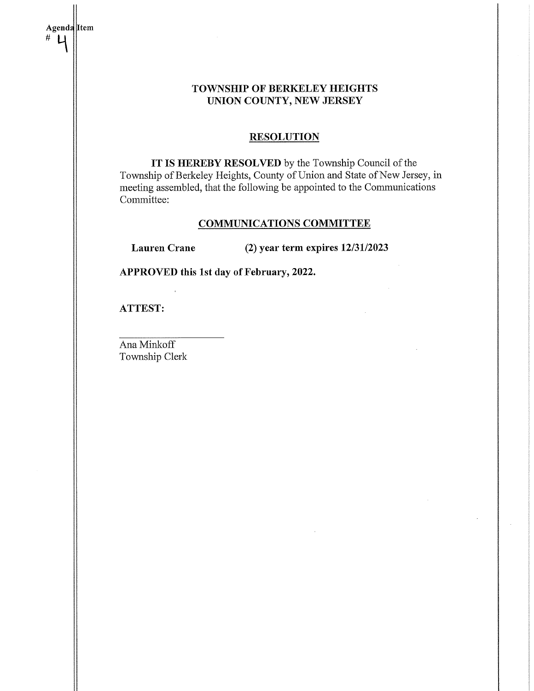| Agenda Item<br># |                                          |                                                                                                                                                                                                               |
|------------------|------------------------------------------|---------------------------------------------------------------------------------------------------------------------------------------------------------------------------------------------------------------|
|                  |                                          | <b>TOWNSHIP OF BERKELEY HEIGHTS</b><br>UNION COUNTY, NEW JERSEY                                                                                                                                               |
|                  |                                          | <b>RESOLUTION</b>                                                                                                                                                                                             |
|                  | Committee:                               | IT IS HEREBY RESOLVED by the Township Council of the<br>Township of Berkeley Heights, County of Union and State of New Jersey, in<br>meeting assembled, that the following be appointed to the Communications |
|                  | <b>COMMUNICATIONS COMMITTEE</b>          |                                                                                                                                                                                                               |
|                  | <b>Lauren Crane</b>                      | $(2)$ year term expires $12/31/2023$                                                                                                                                                                          |
|                  | APPROVED this 1st day of February, 2022. |                                                                                                                                                                                                               |
|                  | <b>ATTEST:</b>                           |                                                                                                                                                                                                               |
|                  | Ana Minkoff<br>Township Clerk            |                                                                                                                                                                                                               |
|                  |                                          |                                                                                                                                                                                                               |
|                  |                                          |                                                                                                                                                                                                               |
|                  |                                          |                                                                                                                                                                                                               |
|                  |                                          |                                                                                                                                                                                                               |
|                  |                                          |                                                                                                                                                                                                               |
|                  |                                          |                                                                                                                                                                                                               |

 $\bar{z}$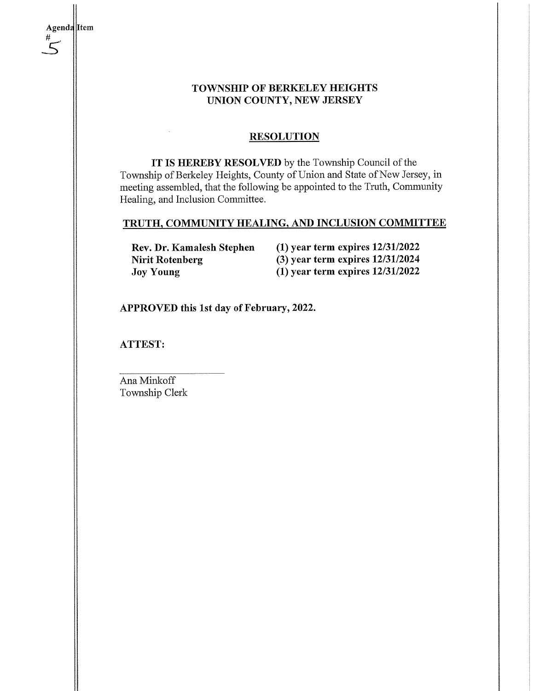### **TOWNSHIP OF BERKELEY HEIGHTS** UNION COUNTY, NEW JERSEY

### **RESOLUTION**

IT IS HEREBY RESOLVED by the Township Council of the Township of Berkeley Heights, County of Union and State of New Jersey, in meeting assembled, that the following be appointed to the Truth, Community Healing, and Inclusion Committee.

# TRUTH, COMMUNITY HEALING, AND INCLUSION COMMITTEE

Rev. Dr. Kamalesh Stephen **Nirit Rotenberg Joy Young** 

 $(1)$  year term expires  $12/31/2022$  $(3)$  year term expires  $12/31/2024$  $(1)$  year term expires  $12/31/2022$ 

APPROVED this 1st day of February, 2022.

**ATTEST:** 

Ana Minkoff Township Clerk

Agenda Item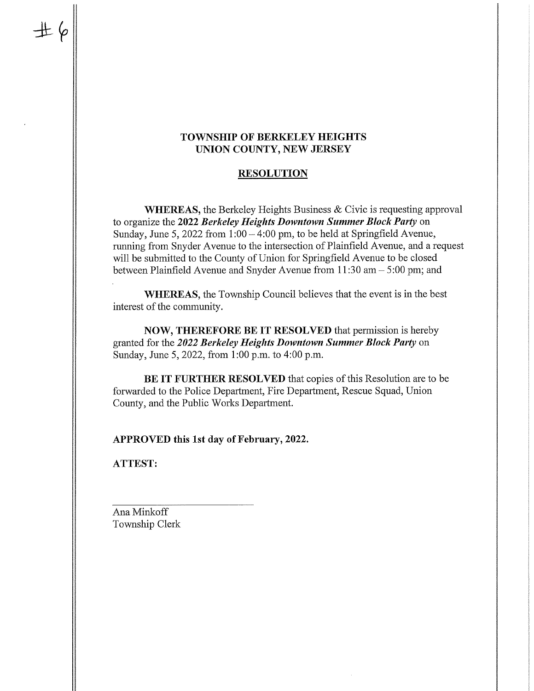### **TOWNSHIP OF BERKELEY HEIGHTS** UNION COUNTY, NEW JERSEY

### **RESOLUTION**

**WHEREAS**, the Berkeley Heights Business & Civic is requesting approval to organize the 2022 Berkeley Heights Downtown Summer Block Party on Sunday, June 5, 2022 from  $1:00 - 4:00$  pm, to be held at Springfield Avenue, running from Snyder Avenue to the intersection of Plainfield Avenue, and a request will be submitted to the County of Union for Springfield Avenue to be closed between Plainfield Avenue and Snyder Avenue from  $11:30$  am  $-5:00$  pm; and

WHEREAS, the Township Council believes that the event is in the best interest of the community.

NOW, THEREFORE BE IT RESOLVED that permission is hereby granted for the 2022 Berkeley Heights Downtown Summer Block Party on Sunday, June 5, 2022, from 1:00 p.m. to 4:00 p.m.

BE IT FURTHER RESOLVED that copies of this Resolution are to be forwarded to the Police Department, Fire Department, Rescue Squad, Union County, and the Public Works Department.

APPROVED this 1st day of February, 2022.

**ATTEST:**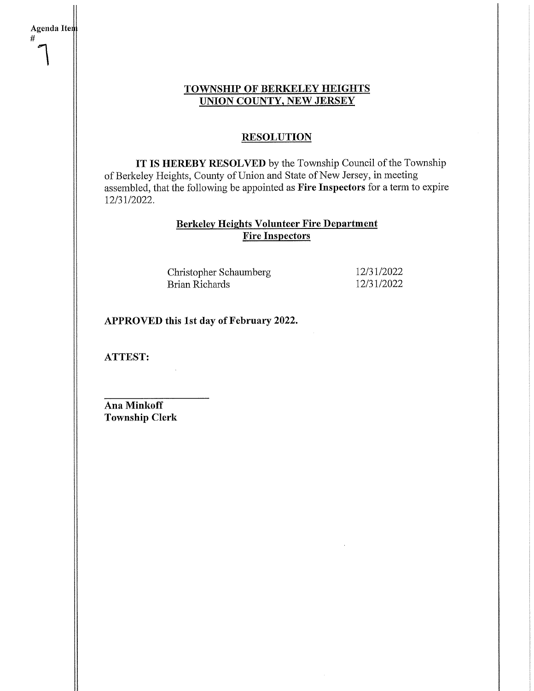### **TOWNSHIP OF BERKELEY HEIGHTS UNION COUNTY, NEW JERSEY**

### **RESOLUTION**

IT IS HEREBY RESOLVED by the Township Council of the Township of Berkeley Heights, County of Union and State of New Jersey, in meeting assembled, that the following be appointed as Fire Inspectors for a term to expire 12/31/2022.

### **Berkeley Heights Volunteer Fire Department Fire Inspectors**

Christopher Schaumberg **Brian Richards** 

12/31/2022 12/31/2022

APPROVED this 1st day of February 2022.

**ATTEST:** 

Agenda Item

 $#$